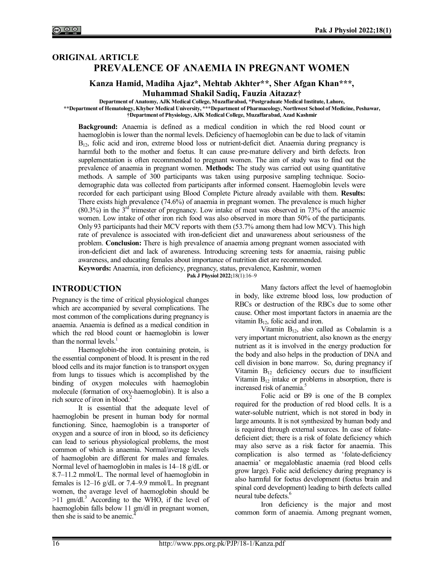## **ORIGINAL ARTICLE PREVALENCE OF ANAEMIA IN PREGNANT WOMEN**

### **Kanza Hamid, Madiha Ajaz\*, Mehtab Akhter\*\*, Sher Afgan Khan\*\*\*, Muhammad Shakil Sadiq, Fauzia Aitazaz†**

**Department of Anatomy, AJK Medical College, Muzaffarabad, \*Postgraduate Medical Institute, Lahore, \*\*Department of Hematology, Khyber Medical University, \*\*\*Department of Pharmacology, Northwest School of Medicine, Peshawar, †Department of Physiology, AJK Medical College, Muzaffarabad, Azad Kashmir**

**Background:** Anaemia is defined as a medical condition in which the red blood count or haemoglobin is lower than the normal levels. Deficiency of haemoglobin can be due to lack of vitamin  $B_{12}$ , folic acid and iron, extreme blood loss or nutrient-deficit diet. Anaemia during pregnancy is harmful both to the mother and foetus. It can cause pre-mature delivery and birth defects. Iron supplementation is often recommended to pregnant women. The aim of study was to find out the prevalence of anaemia in pregnant women. **Methods:** The study was carried out using quantitative methods. A sample of 300 participants was taken using purposive sampling technique. Sociodemographic data was collected from participants after informed consent. Haemoglobin levels were recorded for each participant using Blood Complete Picture already available with them. **Results:** There exists high prevalence (74.6%) of anaemia in pregnant women. The prevalence is much higher  $(80.3\%)$  in the 3<sup>rd</sup> trimester of pregnancy. Low intake of meat was observed in 73% of the anaemic women. Low intake of other iron rich food was also observed in more than 50% of the participants. Only 93 participants had their MCV reports with them (53.7% among them had low MCV). This high rate of prevalence is associated with iron-deficient diet and unawareness about seriousness of the problem. **Conclusion:** There is high prevalence of anaemia among pregnant women associated with iron-deficient diet and lack of awareness. Introducing screening tests for anaemia, raising public awareness, and educating females about importance of nutrition diet are recommended.

**Keywords:** Anaemia, iron deficiency, pregnancy, status, prevalence, Kashmir, women **Pak J Physiol 2022;**18(1):16‒9

### **INTRODUCTION**

Pregnancy is the time of critical physiological changes which are accompanied by several complications. The most common of the complications during pregnancy is anaemia. Anaemia is defined as a medical condition in which the red blood count or haemoglobin is lower than the normal levels.<sup>1</sup>

Haemoglobin-the iron containing protein, is the essential component of blood. It is present in the red blood cells and its major function is to transport oxygen from lungs to tissues which is accomplished by the binding of oxygen molecules with haemoglobin molecule (formation of oxy-haemoglobin). It is also a rich source of iron in blood.<sup>2</sup>

It is essential that the adequate level of haemoglobin be present in human body for normal functioning. Since, haemoglobin is a transporter of oxygen and a source of iron in blood, so its deficiency can lead to serious physiological problems, the most common of which is anaemia. Normal/average levels of haemoglobin are different for males and females. Normal level of haemoglobin in males is 14–18 g/dL or 8.7–11.2 mmol/L. The normal level of haemoglobin in females is 12–16 g/dL or 7.4–9.9 mmol/L. In pregnant women, the average level of haemoglobin should be  $>11$  gm/dl.<sup>3</sup> According to the WHO, if the level of haemoglobin falls below 11 gm/dl in pregnant women, then she is said to be anemic.

Many factors affect the level of haemoglobin in body, like extreme blood loss, low production of RBCs or destruction of the RBCs due to some other cause. Other most important factors in anaemia are the vitamin  $B_{12}$ , folic acid and iron.

Vitamin  $B_{12}$ , also called as Cobalamin is a very important micronutrient, also known as the energy nutrient as it is involved in the energy production for the body and also helps in the production of DNA and cell division in bone marrow. So, during pregnancy if Vitamin  $B_{12}$  deficiency occurs due to insufficient Vitamin  $B_{12}$  intake or problems in absorption, there is increased risk of anemia.<sup>5</sup>

Folic acid or B9 is one of the B complex required for the production of red blood cells. It is a water-soluble nutrient, which is not stored in body in large amounts. It is not synthesized by human body and is required through external sources. In case of folatedeficient diet; there is a risk of folate deficiency which may also serve as a risk factor for anaemia. This complication is also termed as 'folate-deficiency anaemia' or megaloblastic anaemia (red blood cells grow large). Folic acid deficiency during pregnancy is also harmful for foetus development (foetus brain and spinal cord development) leading to birth defects called neural tube defects.<sup>6</sup>

Iron deficiency is the major and most common form of anaemia. Among pregnant women,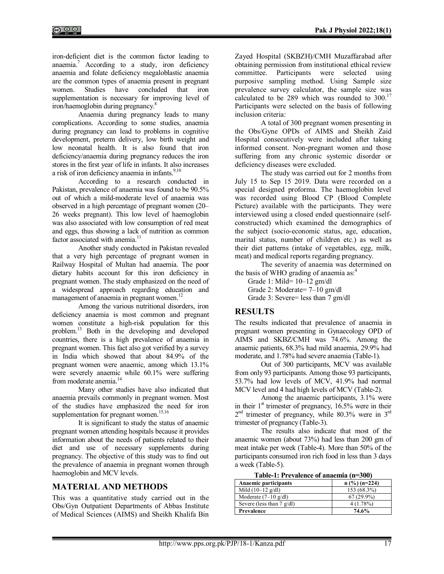iron-deficient diet is the common factor leading to anaemia.<sup>7</sup> According to a study, iron deficiency anaemia and folate deficiency megaloblastic anaemia are the common types of anaemia present in pregnant women. Studies have concluded that iron supplementation is necessary for improving level of iron/haemoglobin during pregnancy.<sup>8</sup>

Anaemia during pregnancy leads to many complications. According to some studies, anaemia during pregnancy can lead to problems in cognitive development, preterm delivery, low birth weight and low neonatal health. It is also found that iron deficiency/anaemia during pregnancy reduces the iron stores in the first year of life in infants. It also increases a risk of iron deficiency anaemia in infants. $9,10$ 

According to a research conducted in Pakistan, prevalence of anaemia was found to be 90.5% out of which a mild-moderate level of anaemia was observed in a high percentage of pregnant women (20– 26 weeks pregnant). This low level of haemoglobin was also associated with low consumption of red meat and eggs, thus showing a lack of nutrition as common factor associated with anemia.<sup>11</sup>

Another study conducted in Pakistan revealed that a very high percentage of pregnant women in Railway Hospital of Multan had anaemia. The poor dietary habits account for this iron deficiency in pregnant women. The study emphasized on the need of a widespread approach regarding education and management of anaemia in pregnant women.<sup>12</sup>

Among the various nutritional disorders, iron deficiency anaemia is most common and pregnant women constitute a high-risk population for this problem.<sup>13</sup> Both in the developing and developed countries, there is a high prevalence of anaemia in pregnant women. This fact also got verified by a survey in India which showed that about 84.9% of the pregnant women were anaemic, among which 13.1% were severely anaemic while 60.1% were suffering from moderate anemia.<sup>14</sup>

Many other studies have also indicated that anaemia prevails commonly in pregnant women. Most of the studies have emphasized the need for iron supplementation for pregnant women.<sup>15,16</sup>

It is significant to study the status of anaemic pregnant women attending hospitals because it provides information about the needs of patients related to their diet and use of necessary supplements during pregnancy. The objective of this study was to find out the prevalence of anaemia in pregnant women through haemoglobin and MCV levels.

## **MATERIAL AND METHODS**

This was a quantitative study carried out in the Obs/Gyn Outpatient Departments of Abbas Institute of Medical Sciences (AIMS) and Sheikh Khalifa Bin Zayed Hospital (SKBZH)/CMH Muzaffarabad after obtaining permission from institutional ethical review committee. Participants were selected using purposive sampling method. Using Sample size prevalence survey calculator, the sample size was calculated to be 289 which was rounded to  $300^{17}$ Participants were selected on the basis of following inclusion criteria:

A total of 300 pregnant women presenting in the Obs/Gyne OPDs of AIMS and Sheikh Zaid Hospital consecutively were included after taking informed consent. Non-pregnant women and those suffering from any chronic systemic disorder or deficiency diseases were excluded.

The study was carried out for 2 months from July 15 to Sep 15 2019. Data were recorded on a special designed proforma. The haemoglobin level was recorded using Blood CP (Blood Complete Picture) available with the participants. They were interviewed using a closed ended questionnaire (selfconstructed) which examined the demographics of the subject (socio-economic status, age, education, marital status, number of children etc.) as well as their diet patterns (intake of vegetables, egg, milk, meat) and medical reports regarding pregnancy.

The severity of anaemia was determined on the basis of WHO grading of anaemia as:<sup>4</sup>

Grade 1: Mild= 10–12 gm/dl Grade 2: Moderate= 7–10 gm/dl Grade 3: Severe= less than 7 gm/dl

## **RESULTS**

The results indicated that prevalence of anaemia in pregnant women presenting in Gynaecology OPD of AIMS and SKBZ/CMH was 74.6%. Among the anaemic patients, 68.3% had mild anaemia, 29.9% had moderate, and 1.78% had severe anaemia (Table-1).

Out of 300 participants, MCV was available from only 93 participants. Among those 93 participants, 53.7% had low levels of MCV, 41.9% had normal MCV level and 4 had high levels of MCV (Table-2).

Among the anaemic participants, 3.1% were in their  $1<sup>st</sup>$  trimester of pregnancy,  $16.5%$  were in their  $2<sup>nd</sup>$  trimester of pregnancy, while 80.3% were in  $3<sup>rd</sup>$ trimester of pregnancy (Table-3).

The results also indicate that most of the anaemic women (about 73%) had less than 200 gm of meat intake per week (Table-4). More than 50% of the participants consumed iron rich food in less than 3 days a week (Table-5).

| Table-1; L'I evalence di anaenna (n-500) |                 |  |
|------------------------------------------|-----------------|--|
| <b>Anaemic participants</b>              | $n$ (%) (n=224) |  |
| Mild $(10-12 \text{ g/dl})$              | 153 (68.3%)     |  |
| Moderate $(7-10 \text{ g/dl})$           | $67(29.9\%)$    |  |
| Severe (less than $7 \text{ g/dl}$ )     | 4(1.78%)        |  |
| Prevalence                               | 74.6%           |  |

# **Table-1: Prevalence of anaemia (n=300)**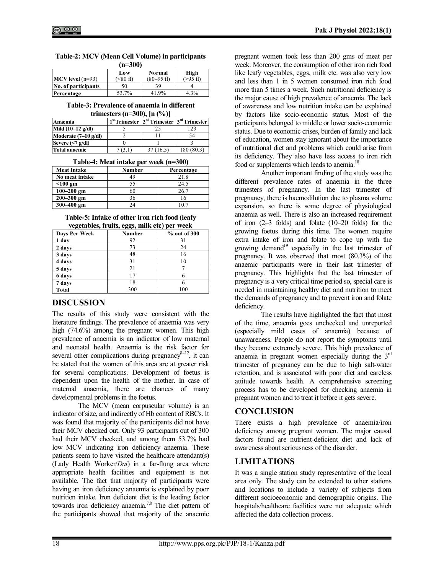| $(n=300)$                    |                        |                 |                      |  |
|------------------------------|------------------------|-----------------|----------------------|--|
| High<br><b>Normal</b><br>Low |                        |                 |                      |  |
| $MCV$ level $(n=93)$         | $(\leq 80 \text{ fl})$ | $(80 - 95)$ fl) | $( > 95 \text{ fl})$ |  |
| No. of participants          | 50                     | 39              |                      |  |
| Percentage                   | 53.7%                  | 41.9%           | 4.3%                 |  |

| Table-2: MCV (Mean Cell Volume) in participants |          |  |  |
|-------------------------------------------------|----------|--|--|
|                                                 | $(-200)$ |  |  |

| Table-3: Prevalence of anaemia in different |  |
|---------------------------------------------|--|
|---------------------------------------------|--|

| trimesters (n=300), $[n (%)]$ |  |  |  |
|-------------------------------|--|--|--|
|-------------------------------|--|--|--|

| Anaemia                        | 1 <sup>st</sup> Trimester 2 <sup>nd</sup> Trimester 3 <sup>rd</sup> Trimester |            |
|--------------------------------|-------------------------------------------------------------------------------|------------|
| Mild $(10-12 \text{ g/dl})$    |                                                                               |            |
| Moderate $(7-10 \text{ g/dl})$ |                                                                               | 54         |
| Severe $\leq 7$ g/dl)          |                                                                               |            |
| <b>Total anaemic</b>           | 37 (16.5)                                                                     | 180 (80.3) |

| Table-4: Meat intake per week (n=300) |  |
|---------------------------------------|--|
|                                       |  |

| <b>Meat Intake</b> | <b>Number</b> | Percentage |
|--------------------|---------------|------------|
| No meat intake     | 49            | 21.8       |
| $<$ 100 gm         | 55            | 24.5       |
| $100 - 200$ gm     | 60            | 26.7       |
| $200 - 300$ gm     | 36            |            |
| 300-400 gm         | 24            |            |

#### **Table-5: Intake of other iron rich food (leafy vegetables, fruits, eggs, milk etc) per week**

| regulativs, if this, eggs, think cit) per week |        |              |  |  |
|------------------------------------------------|--------|--------------|--|--|
| Days Per Week                                  | Number | % out of 300 |  |  |
| 1 day                                          | 92     | 31           |  |  |
| 2 days                                         | 73     | 24           |  |  |
| 3 days                                         | 48     | 16           |  |  |
| 4 days                                         | 31     | 10           |  |  |
| 5 days                                         | 21     |              |  |  |
| 6 days                                         |        |              |  |  |
| 7 days                                         | 18     |              |  |  |
| <b>Total</b>                                   | 300    | 100          |  |  |

# **DISCUSSION**

The results of this study were consistent with the literature findings. The prevalence of anaemia was very high (74.6%) among the pregnant women. This high prevalence of anaemia is an indicator of low maternal and neonatal health. Anaemia is the risk factor for several other complications during pregnancy $8-12$ , it can be stated that the women of this area are at greater risk for several complications. Development of foetus is dependent upon the health of the mother. In case of maternal anaemia, there are chances of many developmental problems in the foetus.

The MCV (mean corpuscular volume) is an indicator of size, and indirectly of Hb content of RBCs. It was found that majority of the participants did not have their MCV checked out. Only 93 participants out of 300 had their MCV checked, and among them 53.7% had low MCV indicating iron deficiency anaemia. These patients seem to have visited the healthcare attendant(s) (Lady Health Worker/*Dai*) in a far-flung area where appropriate health facilities and equipment is not available. The fact that majority of participants were having an iron deficiency anaemia is explained by poor nutrition intake. Iron deficient diet is the leading factor towards iron deficiency anaemia.<sup>7,8</sup> The diet pattern of the participants showed that majority of the anaemic pregnant women took less than 200 gms of meat per week. Moreover, the consumption of other iron rich food like leafy vegetables, eggs, milk etc. was also very low and less than 1 in 5 women consumed iron rich food more than 5 times a week. Such nutritional deficiency is the major cause of high prevalence of anaemia. The lack of awareness and low nutrition intake can be explained by factors like socio-economic status. Most of the participants belonged to middle or lower socio-economic status. Due to economic crises, burden of family and lack of education, women stay ignorant about the importance of nutritional diet and problems which could arise from its deficiency. They also have less access to iron rich food or supplements which leads to anemia.<sup>18</sup>

Another important finding of the study was the different prevalence rates of anaemia in the three trimesters of pregnancy. In the last trimester of pregnancy, there is haemodilution due to plasma volume expansion, so there is some degree of physiological anaemia as well. There is also an increased requirement of iron (2–3 folds) and folate (10–20 folds) for the growing foetus during this time. The women require extra intake of iron and folate to cope up with the growing demand<sup>19</sup> especially in the last trimester of pregnancy. It was observed that most (80.3%) of the anaemic participants were in their last trimester of pregnancy. This highlights that the last trimester of pregnancy is a very critical time period so, special care is needed in maintaining healthy diet and nutrition to meet the demands of pregnancy and to prevent iron and folate deficiency.

The results have highlighted the fact that most of the time, anaemia goes unchecked and unreported (especially mild cases of anaemia) because of unawareness. People do not report the symptoms until they become extremely severe. This high prevalence of anaemia in pregnant women especially during the 3rd trimester of pregnancy can be due to high salt-water retention, and is associated with poor diet and careless attitude towards health. A comprehensive screening process has to be developed for checking anaemia in pregnant women and to treat it before it gets severe.

# **CONCLUSION**

There exists a high prevalence of anaemia/iron deficiency among pregnant women. The major causal factors found are nutrient-deficient diet and lack of awareness about seriousness of the disorder.

## **LIMITATIONS**

It was a single station study representative of the local area only. The study can be extended to other stations and locations to include a variety of subjects from different socioeconomic and demographic origins. The hospitals/healthcare facilities were not adequate which affected the data collection process.